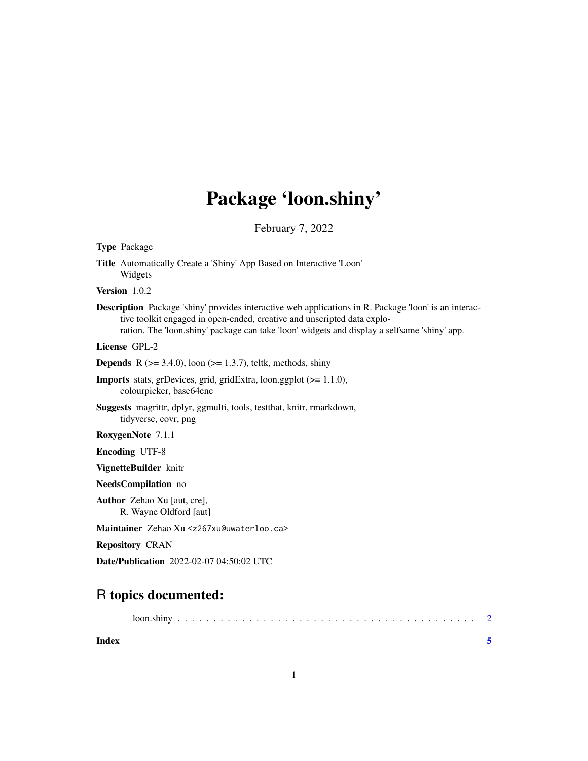## Package 'loon.shiny'

February 7, 2022

<span id="page-0-0"></span>Type Package

Title Automatically Create a 'Shiny' App Based on Interactive 'Loon' Widgets

Version 1.0.2

Description Package 'shiny' provides interactive web applications in R. Package 'loon' is an interactive toolkit engaged in open-ended, creative and unscripted data exploration. The 'loon.shiny' package can take 'loon' widgets and display a selfsame 'shiny' app.

License GPL-2

**Depends** R  $(>= 3.4.0)$ , loon  $(>= 1.3.7)$ , tcltk, methods, shiny

- Imports stats, grDevices, grid, gridExtra, loon.ggplot (>= 1.1.0), colourpicker, base64enc
- Suggests magrittr, dplyr, ggmulti, tools, testthat, knitr, rmarkdown, tidyverse, covr, png

RoxygenNote 7.1.1

Encoding UTF-8

VignetteBuilder knitr

NeedsCompilation no

Author Zehao Xu [aut, cre], R. Wayne Oldford [aut]

Maintainer Zehao Xu <z267xu@uwaterloo.ca>

Repository CRAN

Date/Publication 2022-02-07 04:50:02 UTC

### R topics documented:

**Index** [5](#page-4-0)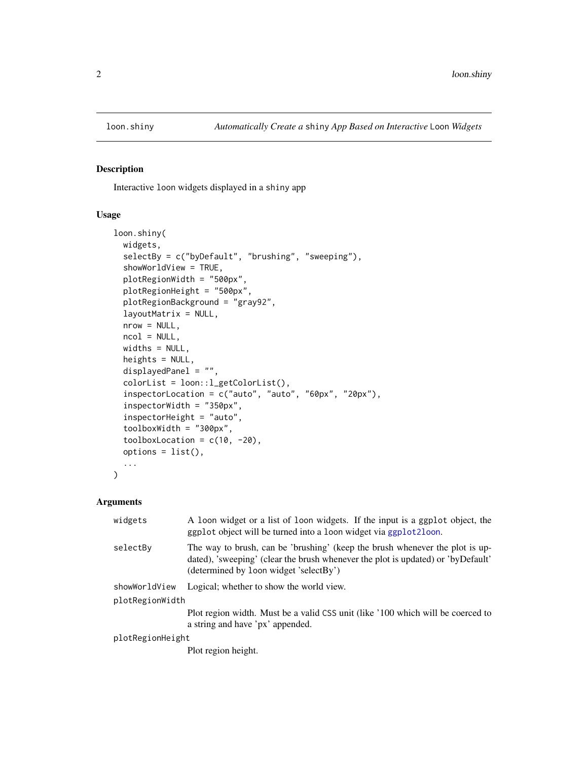<span id="page-1-0"></span>

### Description

Interactive loon widgets displayed in a shiny app

### Usage

```
loon.shiny(
 widgets,
  selectBy = c("byDefault", "brushing", "sweeping"),
  showWorldView = TRUE,
  plotRegionWidth = "500px",
  plotRegionHeight = "500px",
 plotRegionBackground = "gray92",
  layoutMatrix = NULL,
  nrow = NULL,
  ncol = NULL,widths = NULL,
  heights = NULL,
  displayedPanel = "",
  colorList = loon::l_getColorList(),
  inspectorLocation = c("auto", "auto", "60px", "20px"),
  inspectorWidth = "350px",
  inspectorHeight = "auto",
  toolboxWidth = "300px",
  toolboxLocation = c(10, -20),
  options = list(),...
)
```
### Arguments

| widgets          | A loon widget or a list of loon widgets. If the input is a ggplot object, the<br>ggplot object will be turned into a loon widget via ggplot2loon.                                                          |
|------------------|------------------------------------------------------------------------------------------------------------------------------------------------------------------------------------------------------------|
| selectBy         | The way to brush, can be 'brushing' (keep the brush whenever the plot is up-<br>dated), 'sweeping' (clear the brush whenever the plot is updated) or 'byDefault'<br>(determined by loon widget 'selectBy') |
| showWorldView    | Logical; whether to show the world view.                                                                                                                                                                   |
| plotRegionWidth  |                                                                                                                                                                                                            |
|                  | Plot region width. Must be a valid CSS unit (like '100 which will be coerced to<br>a string and have 'px' appended.                                                                                        |
| plotRegionHeight |                                                                                                                                                                                                            |
|                  | Plot region height.                                                                                                                                                                                        |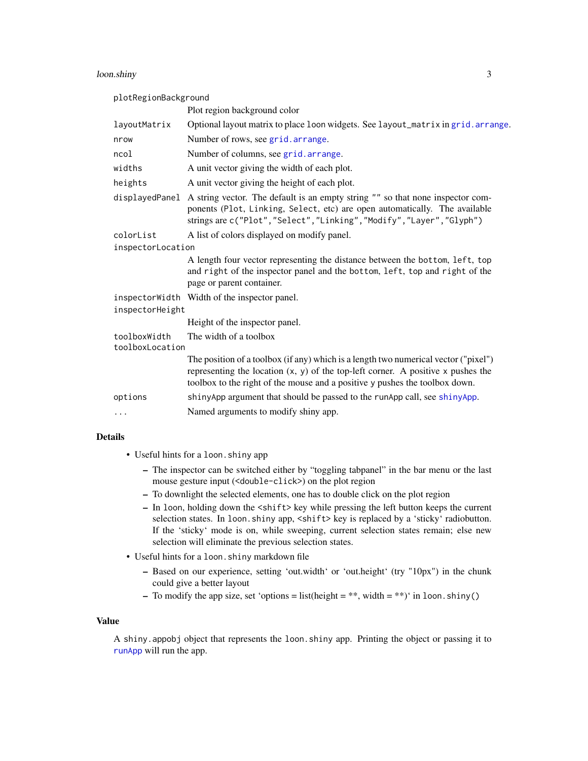<span id="page-2-0"></span>loon.shiny 3 plotRegionBackground Plot region background color layoutMatrix Optional layout matrix to place loon widgets. See layout\_matrix in [grid.arrange](#page-0-0). nrow Number of rows, see [grid.arrange](#page-0-0). ncol Number of columns, see [grid.arrange](#page-0-0). widths A unit vector giving the width of each plot. heights A unit vector giving the height of each plot. displayedPanel A string vector. The default is an empty string "" so that none inspector components (Plot, Linking, Select, etc) are open automatically. The available strings are c("Plot","Select","Linking","Modify","Layer","Glyph") colorList A list of colors displayed on modify panel. inspectorLocation A length four vector representing the distance between the bottom, left, top and right of the inspector panel and the bottom, left, top and right of the page or parent container. inspectorWidth Width of the inspector panel. inspectorHeight Height of the inspector panel. toolboxWidth The width of a toolbox toolboxLocation The position of a toolbox (if any) which is a length two numerical vector ("pixel") representing the location  $(x, y)$  of the top-left corner. A positive x pushes the toolbox to the right of the mouse and a positive y pushes the toolbox down. options shinyApp argument that should be passed to the runApp call, see [shinyApp](#page-0-0). ... Named arguments to modify shiny app.

### Details

- Useful hints for a loon.shiny app
	- The inspector can be switched either by "toggling tabpanel" in the bar menu or the last mouse gesture input (<double-click>) on the plot region
	- To downlight the selected elements, one has to double click on the plot region
	- In loon, holding down the <shift> key while pressing the left button keeps the current selection states. In loon. shiny app,  $\langle \text{shift} \rangle$  key is replaced by a 'sticky' radiobutton. If the 'sticky' mode is on, while sweeping, current selection states remain; else new selection will eliminate the previous selection states.
- Useful hints for a loon.shiny markdown file
	- Based on our experience, setting 'out.width' or 'out.height' (try "10px") in the chunk could give a better layout
	- To modify the app size, set 'options = list(height = \*\*, width = \*\*)' in loon.shiny()

### Value

A shiny.appobj object that represents the loon.shiny app. Printing the object or passing it to [runApp](#page-0-0) will run the app.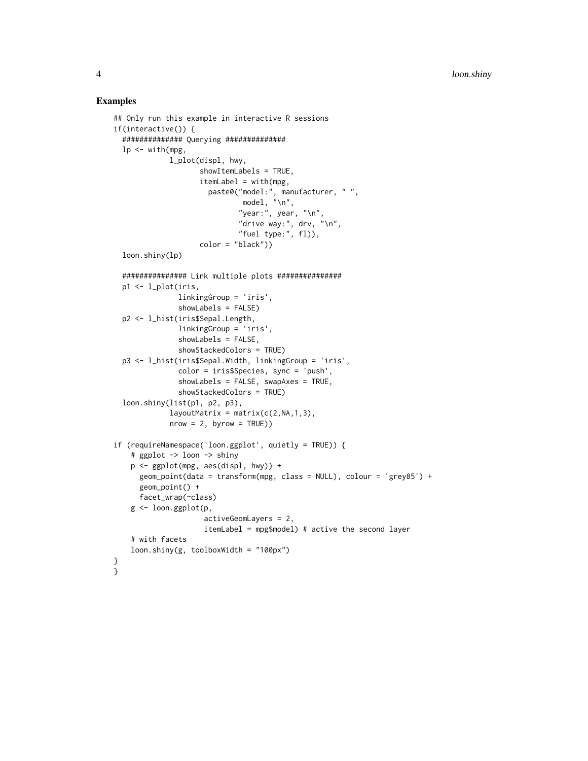### Examples

```
## Only run this example in interactive R sessions
if(interactive()) {
  ############## Querying ##############
  lp \leftarrow with (mpg,l_plot(displ, hwy,
                    showItemLabels = TRUE,
                    itemLabel = with(mpg,
                      paste0("model:", manufacturer, " ",
                              model, \sqrt[n]{n^n},
                              "year:", year, "\n",
                              "drive way:", drv, "\n",
                              "fuel type:", fl)),
                    color = "black"))
  loon.shiny(lp)
  ############### Link multiple plots ###############
  p1 <- l_plot(iris,
               linkingGroup = 'iris',
               showLabels = FALSE)
  p2 <- l_hist(iris$Sepal.Length,
               linkingGroup = 'iris',
               showLabels = FALSE,
               showStackedColors = TRUE)
  p3 <- l_hist(iris$Sepal.Width, linkingGroup = 'iris',
               color = iris$Species, sync = 'push',
               showLabels = FALSE, swapAxes = TRUE,
               showStackedColors = TRUE)
  loon.shiny(list(p1, p2, p3),
             layoutMatrix = matrix(c(2, NA, 1, 3),
             nrow = 2, byrow = TRUE))
if (requireNamespace('loon.ggplot', quietly = TRUE)) {
    # ggplot -> loon -> shiny
    p <- ggplot(mpg, aes(displ, hwy)) +
      geom_point(data = transform(mpg, class = NULL), colour = 'grey85') +
      geom_point() +
      facet_wrap(~class)
    g <- loon.ggplot(p,
                     activeGeomLayers = 2,
                     itemLabel = mpg$model) # active the second layer
    # with facets
    loon.shiny(g, toolboxWidth = "100px")
}
}
```